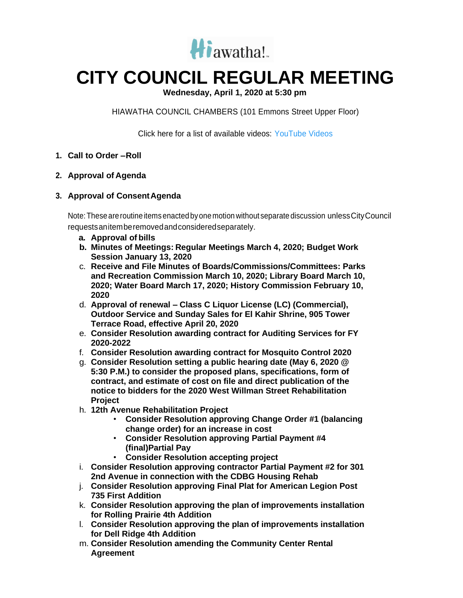

## **CITY COUNCIL REGULAR MEETING**

**Wednesday, April 1, 2020 at 5:30 pm**

HIAWATHA COUNCIL CHAMBERS (101 Emmons Street Upper Floor)

Click here for a list of available videos: [YouTube Videos](https://www.youtube.com/channel/UC3Vyub-x0FNe8YImqf5XsOQ)

- **1. Call to Order –Roll**
- **2. Approval of Agenda**
- **3. Approval of ConsentAgenda**

Note: These are routine items enacted by one motion without separate discussion unless City Council requestsanitemberemovedandconsideredseparately.

- **a. Approval of bills**
- **b. Minutes of Meetings: Regular Meetings March 4, 2020; Budget Work Session January 13, 2020**
- c. **Receive and File Minutes of Boards/Commissions/Committees: Parks and Recreation Commission March 10, 2020; Library Board March 10, 2020; Water Board March 17, 2020; History Commission February 10, 2020**
- d. **Approval of renewal – Class C Liquor License (LC) (Commercial), Outdoor Service and Sunday Sales for El Kahir Shrine, 905 Tower Terrace Road, effective April 20, 2020**
- e. **Consider Resolution awarding contract for Auditing Services for FY 2020-2022**
- f. **Consider Resolution awarding contract for Mosquito Control 2020**
- g. **Consider Resolution setting a public hearing date (May 6, 2020 @ 5:30 P.M.) to consider the proposed plans, specifications, form of contract, and estimate of cost on file and direct publication of the notice to bidders for the 2020 West Willman Street Rehabilitation Project**
- h. **12th Avenue Rehabilitation Project**
	- **Consider Resolution approving Change Order #1 (balancing change order) for an increase in cost**
	- **Consider Resolution approving Partial Payment #4 (final)Partial Pay**
	- **Consider Resolution accepting project**
- i. **Consider Resolution approving contractor Partial Payment #2 for 301 2nd Avenue in connection with the CDBG Housing Rehab**
- j. **Consider Resolution approving Final Plat for American Legion Post 735 First Addition**
- k. **Consider Resolution approving the plan of improvements installation for Rolling Prairie 4th Addition**
- l. **Consider Resolution approving the plan of improvements installation for Dell Ridge 4th Addition**
- m. **Consider Resolution amending the Community Center Rental Agreement**